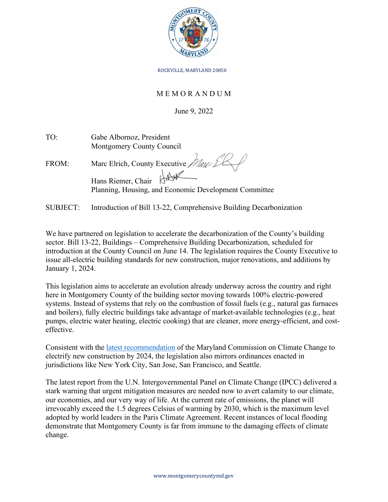

ROCKVILLE, MARYLAND 20850

## M E M O R A N D U M

June 9, 2022

| TO:             | Gabe Albornoz, President<br>Montgomery County Council                           |
|-----------------|---------------------------------------------------------------------------------|
| FROM:           | Marc Elrich, County Executive Mau & K                                           |
|                 | Hans Riemer, Chair JAV<br>Planning, Housing, and Economic Development Committee |
| <b>SUBJECT:</b> | Introduction of Bill 13-22, Comprehensive Building Decarbonization              |

We have partnered on legislation to accelerate the decarbonization of the County's building sector. Bill 13-22, Buildings – Comprehensive Building Decarbonization, scheduled for introduction at the County Council on June 14. The legislation requires the County Executive to issue all-electric building standards for new construction, major renovations, and additions by January 1, 2024.

This legislation aims to accelerate an evolution already underway across the country and right here in Montgomery County of the building sector moving towards 100% electric-powered systems. Instead of systems that rely on the combustion of fossil fuels (e.g., natural gas furnaces and boilers), fully electric buildings take advantage of market-available technologies (e.g., heat pumps, electric water heating, electric cooking) that are cleaner, more energy-efficient, and costeffective.

Consistent with the [latest recommendation](https://mde.maryland.gov/programs/air/ClimateChange/MCCC/Documents/2021%20Annual%20Report%20Appendices%20FINAL.pdf) of the Maryland Commission on Climate Change to electrify new construction by 2024, the legislation also mirrors ordinances enacted in jurisdictions like New York City, San Jose, San Francisco, and Seattle.

The latest report from the U.N. Intergovernmental Panel on Climate Change (IPCC) delivered a stark warning that urgent mitigation measures are needed now to avert calamity to our climate, our economies, and our very way of life. At the current rate of emissions, the planet will irrevocably exceed the 1.5 degrees Celsius of warming by 2030, which is the maximum level adopted by world leaders in the Paris Climate Agreement. Recent instances of local flooding demonstrate that Montgomery County is far from immune to the damaging effects of climate change.